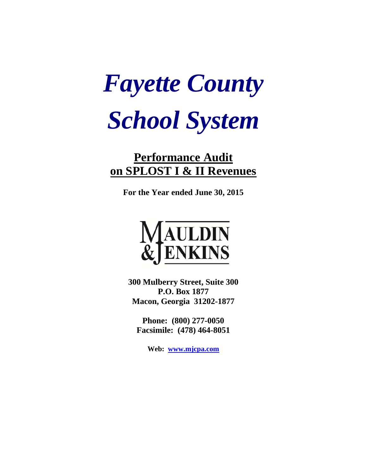# *Fayette County School System*

## **Performance Audit on SPLOST I & II Revenues**

**For the Year ended June 30, 2015** 



**300 Mulberry Street, Suite 300 P.O. Box 1877 Macon, Georgia 31202-1877** 

**Phone: (800) 277-0050 Facsimile: (478) 464-8051** 

**Web: www.mjcpa.com**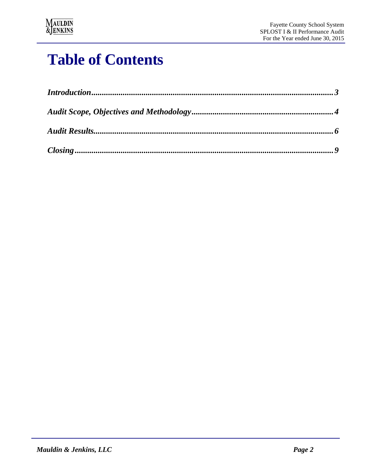

## **Table of Contents**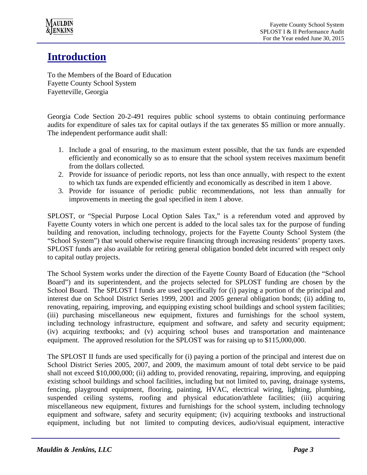

## **Introduction**

To the Members of the Board of Education Fayette County School System Fayetteville, Georgia

Georgia Code Section 20-2-491 requires public school systems to obtain continuing performance audits for expenditure of sales tax for capital outlays if the tax generates \$5 million or more annually. The independent performance audit shall:

- 1. Include a goal of ensuring, to the maximum extent possible, that the tax funds are expended efficiently and economically so as to ensure that the school system receives maximum benefit from the dollars collected.
- 2. Provide for issuance of periodic reports, not less than once annually, with respect to the extent to which tax funds are expended efficiently and economically as described in item 1 above.
- 3. Provide for issuance of periodic public recommendations, not less than annually for improvements in meeting the goal specified in item 1 above.

SPLOST, or "Special Purpose Local Option Sales Tax," is a referendum voted and approved by Fayette County voters in which one percent is added to the local sales tax for the purpose of funding building and renovation, including technology, projects for the Fayette County School System (the "School System") that would otherwise require financing through increasing residents' property taxes. SPLOST funds are also available for retiring general obligation bonded debt incurred with respect only to capital outlay projects.

The School System works under the direction of the Fayette County Board of Education (the "School Board") and its superintendent, and the projects selected for SPLOST funding are chosen by the School Board. The SPLOST I funds are used specifically for (i) paying a portion of the principal and interest due on School District Series 1999, 2001 and 2005 general obligation bonds; (ii) adding to, renovating, repairing, improving, and equipping existing school buildings and school system facilities; (iii) purchasing miscellaneous new equipment, fixtures and furnishings for the school system, including technology infrastructure, equipment and software, and safety and security equipment; (iv) acquiring textbooks; and (v) acquiring school buses and transportation and maintenance equipment. The approved resolution for the SPLOST was for raising up to \$115,000,000.

The SPLOST II funds are used specifically for (i) paying a portion of the principal and interest due on School District Series 2005, 2007, and 2009, the maximum amount of total debt service to be paid shall not exceed \$10,000,000; (ii) adding to, provided renovating, repairing, improving, and equipping existing school buildings and school facilities, including but not limited to, paving, drainage systems, fencing, playground equipment, flooring, painting, HVAC, electrical wiring, lighting, plumbing, suspended ceiling systems, roofing and physical education/athlete facilities; (iii) acquiring miscellaneous new equipment, fixtures and furnishings for the school system, including technology equipment and software, safety and security equipment; (iv) acquiring textbooks and instructional equipment, including but not limited to computing devices, audio/visual equipment, interactive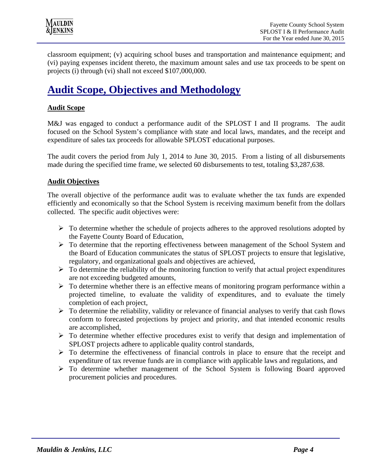classroom equipment; (v) acquiring school buses and transportation and maintenance equipment; and (vi) paying expenses incident thereto, the maximum amount sales and use tax proceeds to be spent on projects (i) through (vi) shall not exceed \$107,000,000.

## **Audit Scope, Objectives and Methodology**

#### **Audit Scope**

M&J was engaged to conduct a performance audit of the SPLOST I and II programs. The audit focused on the School System's compliance with state and local laws, mandates, and the receipt and expenditure of sales tax proceeds for allowable SPLOST educational purposes.

The audit covers the period from July 1, 2014 to June 30, 2015. From a listing of all disbursements made during the specified time frame, we selected 60 disbursements to test, totaling \$3,287,638.

#### **Audit Objectives**

The overall objective of the performance audit was to evaluate whether the tax funds are expended efficiently and economically so that the School System is receiving maximum benefit from the dollars collected. The specific audit objectives were:

- $\triangleright$  To determine whether the schedule of projects adheres to the approved resolutions adopted by the Fayette County Board of Education,
- $\triangleright$  To determine that the reporting effectiveness between management of the School System and the Board of Education communicates the status of SPLOST projects to ensure that legislative, regulatory, and organizational goals and objectives are achieved,
- $\triangleright$  To determine the reliability of the monitoring function to verify that actual project expenditures are not exceeding budgeted amounts,
- $\triangleright$  To determine whether there is an effective means of monitoring program performance within a projected timeline, to evaluate the validity of expenditures, and to evaluate the timely completion of each project,
- $\triangleright$  To determine the reliability, validity or relevance of financial analyses to verify that cash flows conform to forecasted projections by project and priority, and that intended economic results are accomplished,
- $\triangleright$  To determine whether effective procedures exist to verify that design and implementation of SPLOST projects adhere to applicable quality control standards,
- $\triangleright$  To determine the effectiveness of financial controls in place to ensure that the receipt and expenditure of tax revenue funds are in compliance with applicable laws and regulations, and
- To determine whether management of the School System is following Board approved procurement policies and procedures.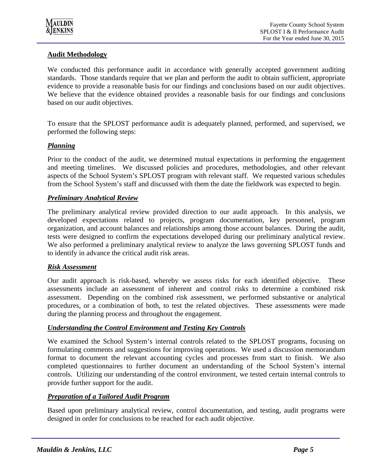

#### **Audit Methodology**

We conducted this performance audit in accordance with generally accepted government auditing standards. Those standards require that we plan and perform the audit to obtain sufficient, appropriate evidence to provide a reasonable basis for our findings and conclusions based on our audit objectives. We believe that the evidence obtained provides a reasonable basis for our findings and conclusions based on our audit objectives.

To ensure that the SPLOST performance audit is adequately planned, performed, and supervised, we performed the following steps:

#### *Planning*

Prior to the conduct of the audit, we determined mutual expectations in performing the engagement and meeting timelines. We discussed policies and procedures, methodologies, and other relevant aspects of the School System's SPLOST program with relevant staff. We requested various schedules from the School System's staff and discussed with them the date the fieldwork was expected to begin.

#### *Preliminary Analytical Review*

The preliminary analytical review provided direction to our audit approach. In this analysis, we developed expectations related to projects, program documentation, key personnel, program organization, and account balances and relationships among those account balances. During the audit, tests were designed to confirm the expectations developed during our preliminary analytical review. We also performed a preliminary analytical review to analyze the laws governing SPLOST funds and to identify in advance the critical audit risk areas.

#### *Risk Assessment*

Our audit approach is risk-based, whereby we assess risks for each identified objective. These assessments include an assessment of inherent and control risks to determine a combined risk assessment. Depending on the combined risk assessment, we performed substantive or analytical procedures, or a combination of both, to test the related objectives. These assessments were made during the planning process and throughout the engagement.

#### *Understanding the Control Environment and Testing Key Controls*

We examined the School System's internal controls related to the SPLOST programs, focusing on formulating comments and suggestions for improving operations. We used a discussion memorandum format to document the relevant accounting cycles and processes from start to finish. We also completed questionnaires to further document an understanding of the School System's internal controls. Utilizing our understanding of the control environment, we tested certain internal controls to provide further support for the audit.

#### *Preparation of a Tailored Audit Program*

Based upon preliminary analytical review, control documentation, and testing, audit programs were designed in order for conclusions to be reached for each audit objective.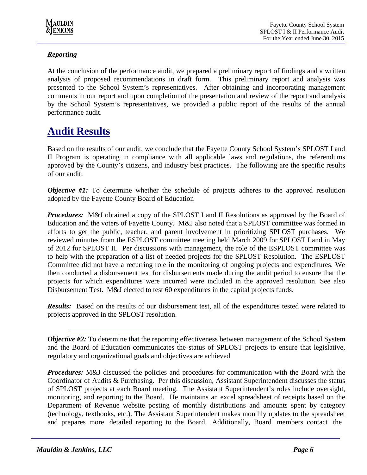

#### *Reporting*

At the conclusion of the performance audit, we prepared a preliminary report of findings and a written analysis of proposed recommendations in draft form. This preliminary report and analysis was presented to the School System's representatives. After obtaining and incorporating management comments in our report and upon completion of the presentation and review of the report and analysis by the School System's representatives, we provided a public report of the results of the annual performance audit.

## **Audit Results**

Based on the results of our audit, we conclude that the Fayette County School System's SPLOST I and II Program is operating in compliance with all applicable laws and regulations, the referendums approved by the County's citizens, and industry best practices. The following are the specific results of our audit:

*Objective #1:* To determine whether the schedule of projects adheres to the approved resolution adopted by the Fayette County Board of Education

*Procedures:* M&J obtained a copy of the SPLOST I and II Resolutions as approved by the Board of Education and the voters of Fayette County. M&J also noted that a SPLOST committee was formed in efforts to get the public, teacher, and parent involvement in prioritizing SPLOST purchases. We reviewed minutes from the ESPLOST committee meeting held March 2009 for SPLOST I and in May of 2012 for SPLOST II. Per discussions with management, the role of the ESPLOST committee was to help with the preparation of a list of needed projects for the SPLOST Resolution. The ESPLOST Committee did not have a recurring role in the monitoring of ongoing projects and expenditures. We then conducted a disbursement test for disbursements made during the audit period to ensure that the projects for which expenditures were incurred were included in the approved resolution. See also Disbursement Test. M&J elected to test 60 expenditures in the capital projects funds.

*Results:* Based on the results of our disbursement test, all of the expenditures tested were related to projects approved in the SPLOST resolution.

*Objective #2:* To determine that the reporting effectiveness between management of the School System and the Board of Education communicates the status of SPLOST projects to ensure that legislative, regulatory and organizational goals and objectives are achieved

**Procedures:** M&J discussed the policies and procedures for communication with the Board with the Coordinator of Audits & Purchasing. Per this discussion, Assistant Superintendent discusses the status of SPLOST projects at each Board meeting. The Assistant Superintendent's roles include oversight, monitoring, and reporting to the Board. He maintains an excel spreadsheet of receipts based on the Department of Revenue website posting of monthly distributions and amounts spent by category (technology, textbooks, etc.). The Assistant Superintendent makes monthly updates to the spreadsheet and prepares more detailed reporting to the Board. Additionally, Board members contact the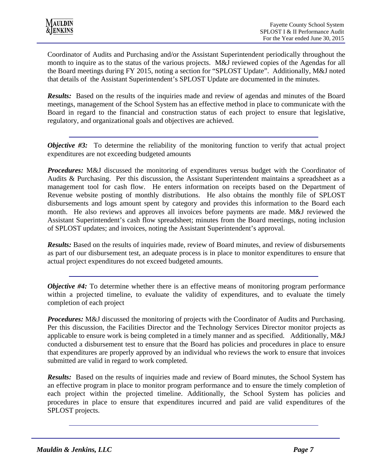Coordinator of Audits and Purchasing and/or the Assistant Superintendent periodically throughout the month to inquire as to the status of the various projects. M&J reviewed copies of the Agendas for all the Board meetings during FY 2015, noting a section for "SPLOST Update". Additionally, M&J noted that details of the Assistant Superintendent's SPLOST Update are documented in the minutes.

*Results:* Based on the results of the inquiries made and review of agendas and minutes of the Board meetings, management of the School System has an effective method in place to communicate with the Board in regard to the financial and construction status of each project to ensure that legislative, regulatory, and organizational goals and objectives are achieved.

*Objective #3:* To determine the reliability of the monitoring function to verify that actual project expenditures are not exceeding budgeted amounts

*Procedures:* M&J discussed the monitoring of expenditures versus budget with the Coordinator of Audits & Purchasing. Per this discussion, the Assistant Superintendent maintains a spreadsheet as a management tool for cash flow. He enters information on receipts based on the Department of Revenue website posting of monthly distributions. He also obtains the monthly file of SPLOST disbursements and logs amount spent by category and provides this information to the Board each month. He also reviews and approves all invoices before payments are made. M&J reviewed the Assistant Superintendent's cash flow spreadsheet; minutes from the Board meetings, noting inclusion of SPLOST updates; and invoices, noting the Assistant Superintendent's approval.

*Results:* Based on the results of inquiries made, review of Board minutes, and review of disbursements as part of our disbursement test, an adequate process is in place to monitor expenditures to ensure that actual project expenditures do not exceed budgeted amounts.

*Objective #4:* To determine whether there is an effective means of monitoring program performance within a projected timeline, to evaluate the validity of expenditures, and to evaluate the timely completion of each project

**Procedures:** M&J discussed the monitoring of projects with the Coordinator of Audits and Purchasing. Per this discussion, the Facilities Director and the Technology Services Director monitor projects as applicable to ensure work is being completed in a timely manner and as specified. Additionally, M&J conducted a disbursement test to ensure that the Board has policies and procedures in place to ensure that expenditures are properly approved by an individual who reviews the work to ensure that invoices submitted are valid in regard to work completed.

*Results:* Based on the results of inquiries made and review of Board minutes, the School System has an effective program in place to monitor program performance and to ensure the timely completion of each project within the projected timeline. Additionally, the School System has policies and procedures in place to ensure that expenditures incurred and paid are valid expenditures of the SPLOST projects.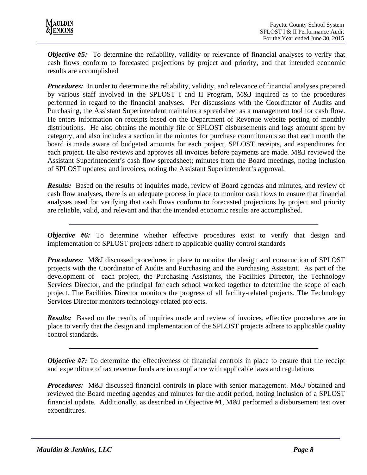*Objective #5:* To determine the reliability, validity or relevance of financial analyses to verify that cash flows conform to forecasted projections by project and priority, and that intended economic results are accomplished

*Procedures:* In order to determine the reliability, validity, and relevance of financial analyses prepared by various staff involved in the SPLOST I and II Program, M&J inquired as to the procedures performed in regard to the financial analyses. Per discussions with the Coordinator of Audits and Purchasing, the Assistant Superintendent maintains a spreadsheet as a management tool for cash flow. He enters information on receipts based on the Department of Revenue website posting of monthly distributions. He also obtains the monthly file of SPLOST disbursements and logs amount spent by category, and also includes a section in the minutes for purchase commitments so that each month the board is made aware of budgeted amounts for each project, SPLOST receipts, and expenditures for each project. He also reviews and approves all invoices before payments are made. M&J reviewed the Assistant Superintendent's cash flow spreadsheet; minutes from the Board meetings, noting inclusion of SPLOST updates; and invoices, noting the Assistant Superintendent's approval.

*Results:* Based on the results of inquiries made, review of Board agendas and minutes, and review of cash flow analyses, there is an adequate process in place to monitor cash flows to ensure that financial analyses used for verifying that cash flows conform to forecasted projections by project and priority are reliable, valid, and relevant and that the intended economic results are accomplished.

*Objective #6:* To determine whether effective procedures exist to verify that design and implementation of SPLOST projects adhere to applicable quality control standards

*Procedures:* M&J discussed procedures in place to monitor the design and construction of SPLOST projects with the Coordinator of Audits and Purchasing and the Purchasing Assistant. As part of the development of each project, the Purchasing Assistants, the Facilities Director, the Technology Services Director, and the principal for each school worked together to determine the scope of each project. The Facilities Director monitors the progress of all facility-related projects. The Technology Services Director monitors technology-related projects.

**Results:** Based on the results of inquiries made and review of invoices, effective procedures are in place to verify that the design and implementation of the SPLOST projects adhere to applicable quality control standards.

*Objective #7:* To determine the effectiveness of financial controls in place to ensure that the receipt and expenditure of tax revenue funds are in compliance with applicable laws and regulations

*Procedures:* M&J discussed financial controls in place with senior management. M&J obtained and reviewed the Board meeting agendas and minutes for the audit period, noting inclusion of a SPLOST financial update. Additionally, as described in Objective #1, M&J performed a disbursement test over expenditures.